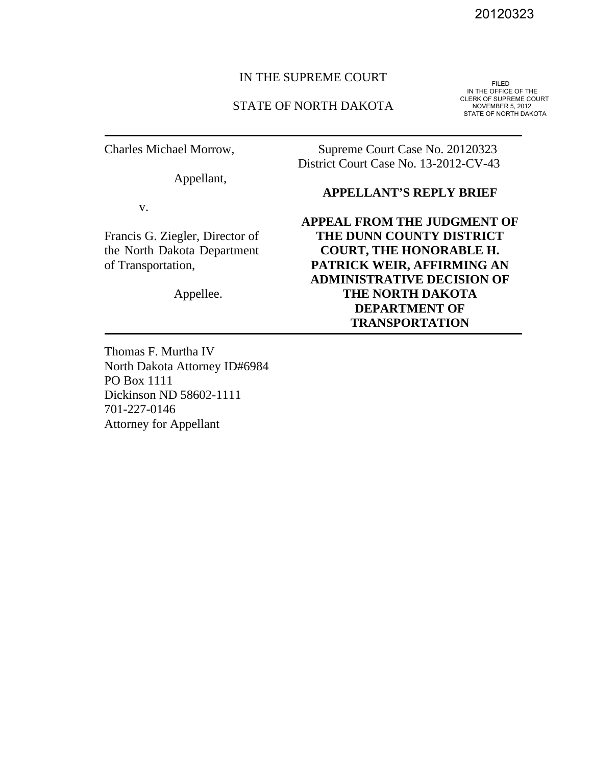#### IN THE SUPREME COURT

#### STATE OF NORTH DAKOTA

Charles Michael Morrow,

Appellant,

v.

Francis G. Ziegler, Director of the North Dakota Department of Transportation,

Appellee.

20120323<br>IN THE OFFICE OF THE<br>CLERK OF SUPREME COURT NOVEMBER 5, 2012 STATE OF NORTH DAKOTA

Supreme Court Case No. 20120323 District Court Case No. 13-2012-CV-43

#### **APPELLANT'S REPLY BRIEF**

**APPEAL FROM THE JUDGMENT OF THE DUNN COUNTY DISTRICT COURT, THE HONORABLE H. PATRICK WEIR, AFFIRMING AN ADMINISTRATIVE DECISION OF THE NORTH DAKOTA DEPARTMENT OF TRANSPORTATION** 

Thomas F. Murtha IV North Dakota Attorney ID#6984 PO Box 1111 Dickinson ND 58602-1111 701-227-0146 Attorney for Appellant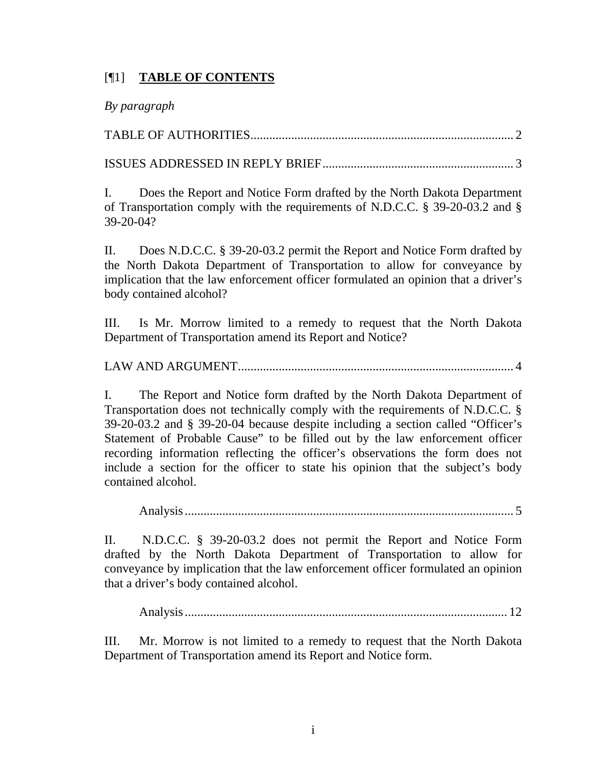# [¶1] **TABLE OF CONTENTS**

# *By paragraph*

TABLE OF AUTHORITIES .................................................................................... 2

ISSUES ADDRESSED IN REPLY BRIEF ............................................................. 3

I. Does the Report and Notice Form drafted by the North Dakota Department of Transportation comply with the requirements of N.D.C.C. § 39-20-03.2 and § 39-20-04?

II. Does N.D.C.C. § 39-20-03.2 permit the Report and Notice Form drafted by the North Dakota Department of Transportation to allow for conveyance by implication that the law enforcement officer formulated an opinion that a driver's body contained alcohol?

III. Is Mr. Morrow limited to a remedy to request that the North Dakota Department of Transportation amend its Report and Notice?

LAW AND ARGUMENT ........................................................................................ 4

I. The Report and Notice form drafted by the North Dakota Department of Transportation does not technically comply with the requirements of N.D.C.C. § 39-20-03.2 and § 39-20-04 because despite including a section called "Officer's Statement of Probable Cause" to be filled out by the law enforcement officer recording information reflecting the officer's observations the form does not include a section for the officer to state his opinion that the subject's body contained alcohol.

Analysis ......................................................................................................... 5

II. N.D.C.C. § 39-20-03.2 does not permit the Report and Notice Form drafted by the North Dakota Department of Transportation to allow for conveyance by implication that the law enforcement officer formulated an opinion that a driver's body contained alcohol.

Analysis ....................................................................................................... 12

III. Mr. Morrow is not limited to a remedy to request that the North Dakota Department of Transportation amend its Report and Notice form.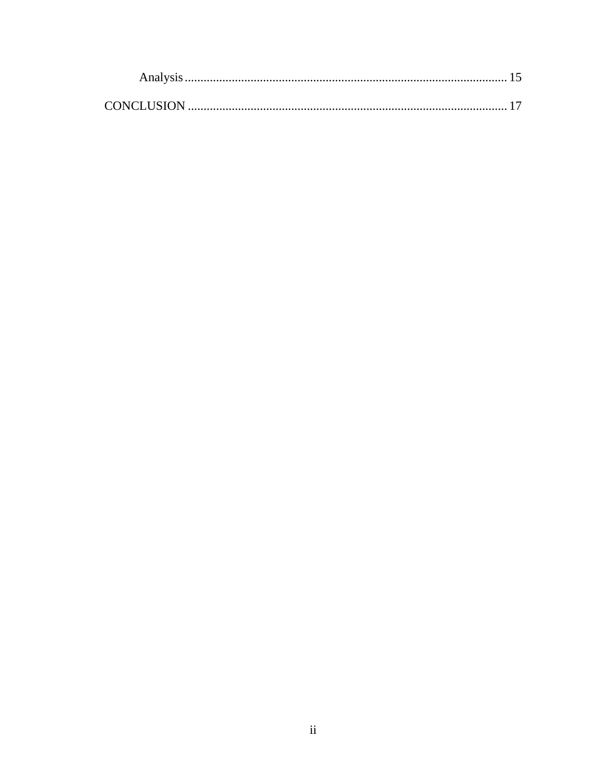| CONCLUSION |  |  |
|------------|--|--|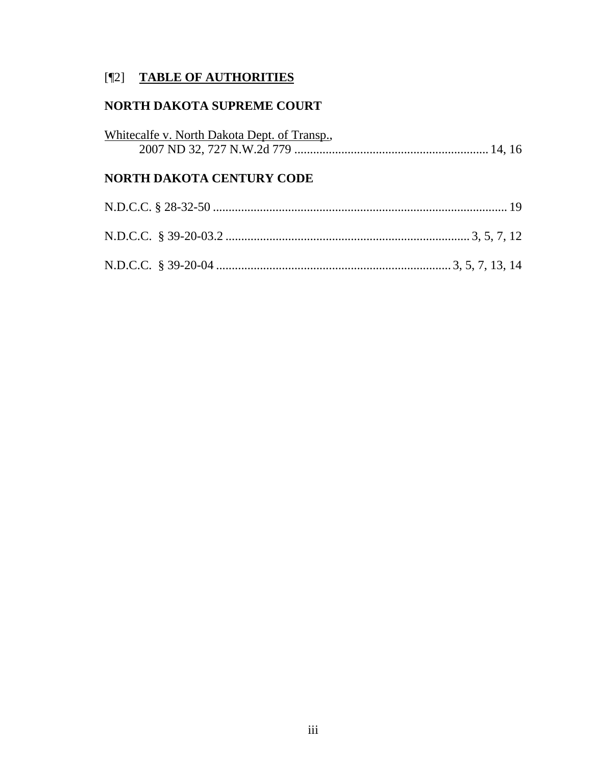# [¶2] **TABLE OF AUTHORITIES**

# **NORTH DAKOTA SUPREME COURT**

| Whitecalfe v. North Dakota Dept. of Transp., |  |  |  |
|----------------------------------------------|--|--|--|
| <b>NORTH DAKOTA CENTURY CODE</b>             |  |  |  |
|                                              |  |  |  |
|                                              |  |  |  |
|                                              |  |  |  |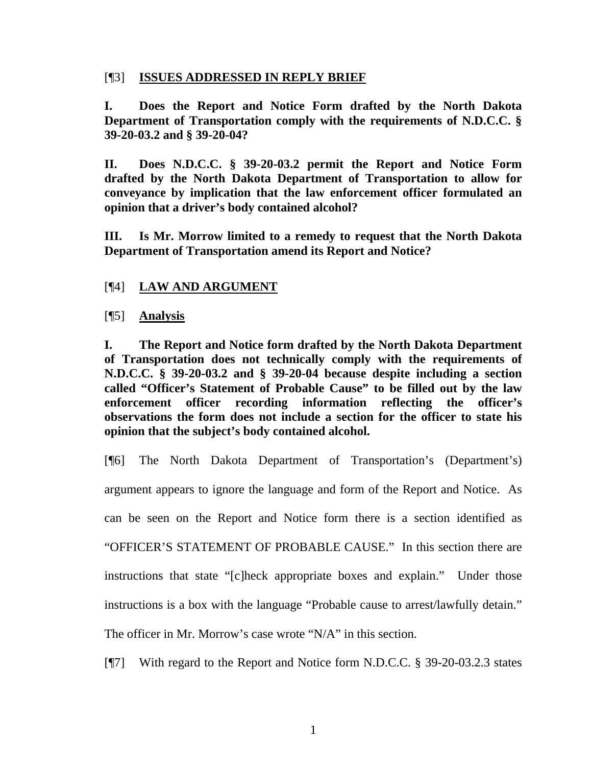### [¶3] **ISSUES ADDRESSED IN REPLY BRIEF**

**I. Does the Report and Notice Form drafted by the North Dakota Department of Transportation comply with the requirements of N.D.C.C. § 39-20-03.2 and § 39-20-04?** 

**II. Does N.D.C.C. § 39-20-03.2 permit the Report and Notice Form drafted by the North Dakota Department of Transportation to allow for conveyance by implication that the law enforcement officer formulated an opinion that a driver's body contained alcohol?** 

**III. Is Mr. Morrow limited to a remedy to request that the North Dakota Department of Transportation amend its Report and Notice?** 

# [¶4] **LAW AND ARGUMENT**

[¶5] **Analysis** 

**I. The Report and Notice form drafted by the North Dakota Department of Transportation does not technically comply with the requirements of N.D.C.C. § 39-20-03.2 and § 39-20-04 because despite including a section called "Officer's Statement of Probable Cause" to be filled out by the law enforcement officer recording information reflecting the officer's observations the form does not include a section for the officer to state his opinion that the subject's body contained alcohol.** 

[¶6] The North Dakota Department of Transportation's (Department's) argument appears to ignore the language and form of the Report and Notice. As can be seen on the Report and Notice form there is a section identified as "OFFICER'S STATEMENT OF PROBABLE CAUSE." In this section there are instructions that state "[c]heck appropriate boxes and explain." Under those instructions is a box with the language "Probable cause to arrest/lawfully detain." The officer in Mr. Morrow's case wrote "N/A" in this section.

[¶7] With regard to the Report and Notice form N.D.C.C. § 39-20-03.2.3 states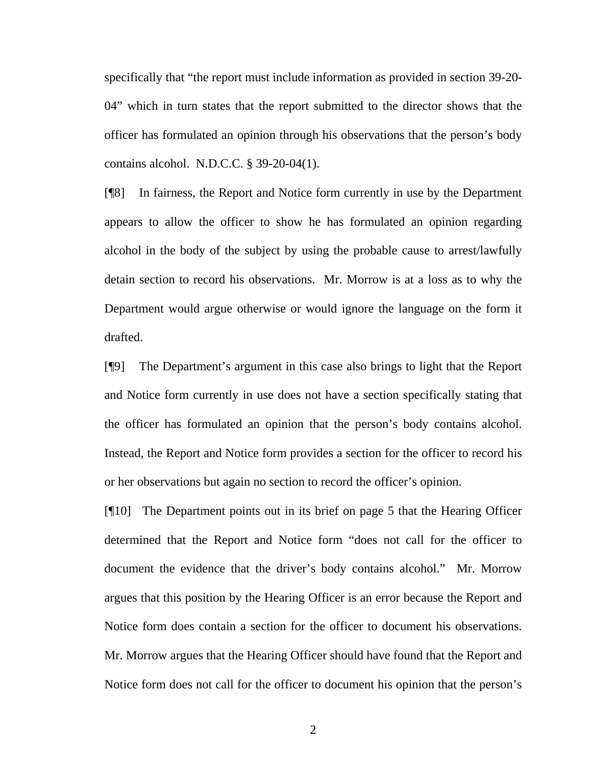specifically that "the report must include information as provided in section 39-20- 04" which in turn states that the report submitted to the director shows that the officer has formulated an opinion through his observations that the person's body contains alcohol. N.D.C.C. § 39-20-04(1).

[¶8] In fairness, the Report and Notice form currently in use by the Department appears to allow the officer to show he has formulated an opinion regarding alcohol in the body of the subject by using the probable cause to arrest/lawfully detain section to record his observations. Mr. Morrow is at a loss as to why the Department would argue otherwise or would ignore the language on the form it drafted.

[¶9] The Department's argument in this case also brings to light that the Report and Notice form currently in use does not have a section specifically stating that the officer has formulated an opinion that the person's body contains alcohol. Instead, the Report and Notice form provides a section for the officer to record his or her observations but again no section to record the officer's opinion.

[¶10] The Department points out in its brief on page 5 that the Hearing Officer determined that the Report and Notice form "does not call for the officer to document the evidence that the driver's body contains alcohol." Mr. Morrow argues that this position by the Hearing Officer is an error because the Report and Notice form does contain a section for the officer to document his observations. Mr. Morrow argues that the Hearing Officer should have found that the Report and Notice form does not call for the officer to document his opinion that the person's

2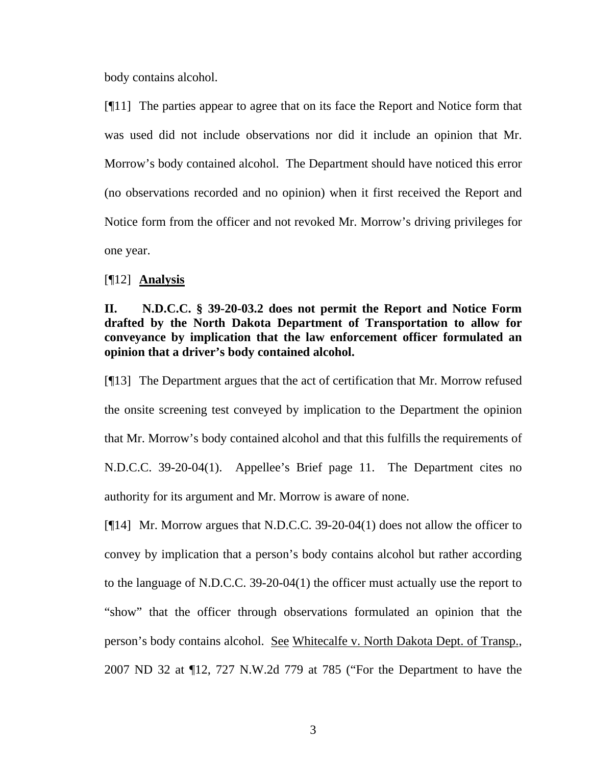body contains alcohol.

[¶11] The parties appear to agree that on its face the Report and Notice form that was used did not include observations nor did it include an opinion that Mr. Morrow's body contained alcohol. The Department should have noticed this error (no observations recorded and no opinion) when it first received the Report and Notice form from the officer and not revoked Mr. Morrow's driving privileges for one year.

#### [¶12] **Analysis**

# **II. N.D.C.C. § 39-20-03.2 does not permit the Report and Notice Form drafted by the North Dakota Department of Transportation to allow for conveyance by implication that the law enforcement officer formulated an opinion that a driver's body contained alcohol.**

[¶13] The Department argues that the act of certification that Mr. Morrow refused the onsite screening test conveyed by implication to the Department the opinion that Mr. Morrow's body contained alcohol and that this fulfills the requirements of N.D.C.C. 39-20-04(1). Appellee's Brief page 11. The Department cites no authority for its argument and Mr. Morrow is aware of none.

[¶14] Mr. Morrow argues that N.D.C.C. 39-20-04(1) does not allow the officer to convey by implication that a person's body contains alcohol but rather according to the language of N.D.C.C. 39-20-04(1) the officer must actually use the report to "show" that the officer through observations formulated an opinion that the person's body contains alcohol. See Whitecalfe v. North Dakota Dept. of Transp., 2007 ND 32 at ¶12, 727 N.W.2d 779 at 785 ("For the Department to have the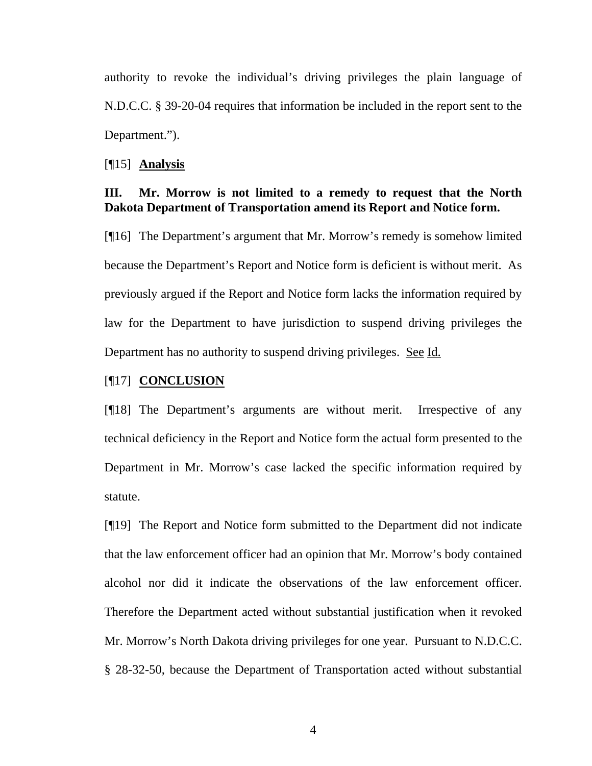authority to revoke the individual's driving privileges the plain language of N.D.C.C. § 39-20-04 requires that information be included in the report sent to the Department.").

#### [¶15] **Analysis**

### **III. Mr. Morrow is not limited to a remedy to request that the North Dakota Department of Transportation amend its Report and Notice form.**

[¶16] The Department's argument that Mr. Morrow's remedy is somehow limited because the Department's Report and Notice form is deficient is without merit. As previously argued if the Report and Notice form lacks the information required by law for the Department to have jurisdiction to suspend driving privileges the Department has no authority to suspend driving privileges. See Id.

#### [¶17] **CONCLUSION**

[¶18] The Department's arguments are without merit. Irrespective of any technical deficiency in the Report and Notice form the actual form presented to the Department in Mr. Morrow's case lacked the specific information required by statute.

[¶19] The Report and Notice form submitted to the Department did not indicate that the law enforcement officer had an opinion that Mr. Morrow's body contained alcohol nor did it indicate the observations of the law enforcement officer. Therefore the Department acted without substantial justification when it revoked Mr. Morrow's North Dakota driving privileges for one year. Pursuant to N.D.C.C. § 28-32-50, because the Department of Transportation acted without substantial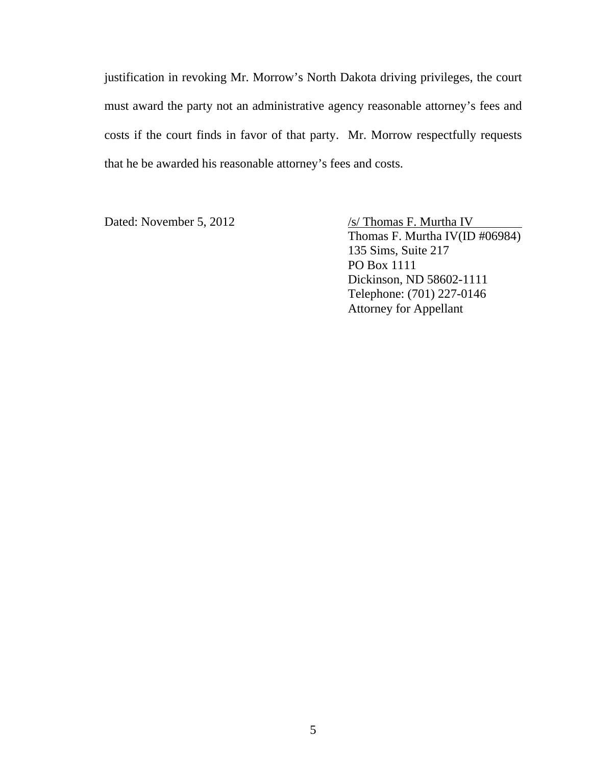justification in revoking Mr. Morrow's North Dakota driving privileges, the court must award the party not an administrative agency reasonable attorney's fees and costs if the court finds in favor of that party. Mr. Morrow respectfully requests that he be awarded his reasonable attorney's fees and costs.

Dated: November 5, 2012 /s/ Thomas F. Murtha IV Thomas F. Murtha IV(ID #06984) 135 Sims, Suite 217 PO Box 1111 Dickinson, ND 58602-1111 Telephone: (701) 227-0146 Attorney for Appellant